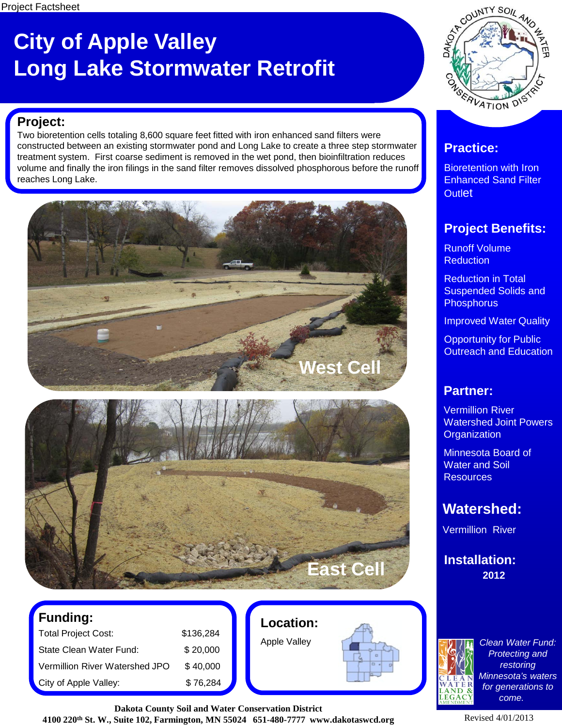## **City of Apple Valley Long Lake Stormwater Retrofit**



#### **Project:**

Two bioretention cells totaling 8,600 square feet fitted with iron enhanced sand filters were constructed between an existing stormwater pond and Long Lake to create a three step stormwater treatment system. First coarse sediment is removed in the wet pond, then bioinfiltration reduces volume and finally the iron filings in the sand filter removes dissolved phosphorous before the runoff reaches Long Lake.





| <b>Funding:</b>                |           |
|--------------------------------|-----------|
| <b>Total Project Cost:</b>     | \$136,284 |
| State Clean Water Fund:        | \$20,000  |
| Vermillion River Watershed JPO | \$40,000  |

City of Apple Valley:

|    | \$136,284 |  |
|----|-----------|--|
|    | \$20,000  |  |
| PO | \$40,000  |  |
|    | \$76,284  |  |

**Location:**

Apple Valley



**Dakota County Soil and Water Conservation District 4100 220th St. W., Suite 102, Farmington, MN 55024 651-480-7777 www.dakotaswcd.org**

### **Practice:**

Bioretention with Iron Enhanced Sand Filter **Outlet** 

### **Project Benefits:**

Runoff Volume **Reduction** 

Reduction in Total Suspended Solids and **Phosphorus** 

Improved Water Quality

Opportunity for Public Outreach and Education

#### **Partner:**

Vermillion River Watershed Joint Powers **Organization** 

Minnesota Board of Water and Soil **Resources** 

## **Watershed:**

Vermillion River

**2012 Installation:**



*Clean Water Fund: Protecting and restoring Minnesota's waters for generations to come.*